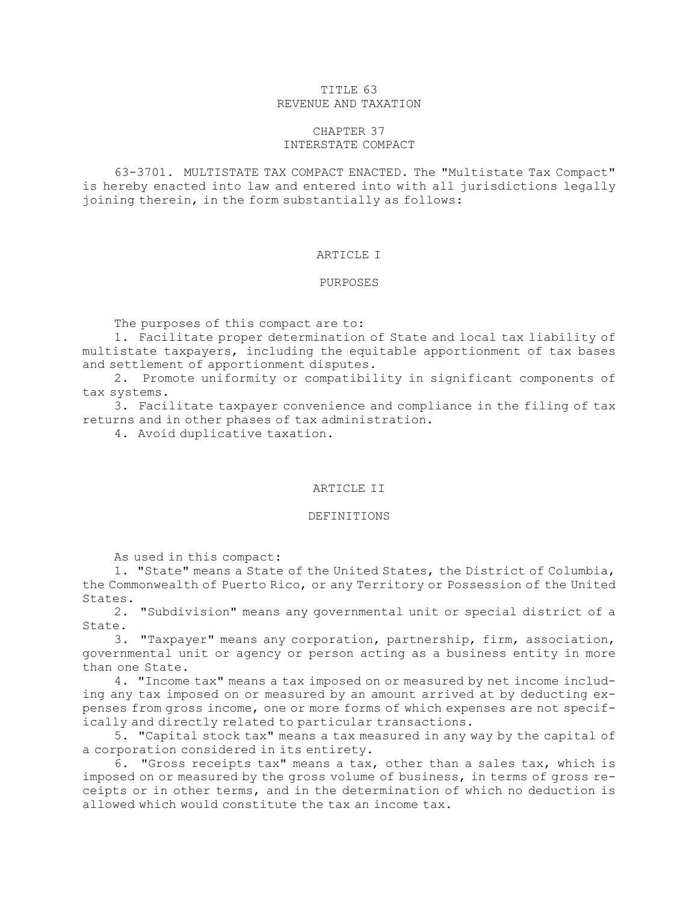# TITLE 63 REVENUE AND TAXATION

# CHAPTER 37 INTERSTATE COMPACT

63-3701. MULTISTATE TAX COMPACT ENACTED. The "Multistate Tax Compact" is hereby enacted into law and entered into with all jurisdictions legally joining therein, in the form substantially as follows:

# ARTICLE I

# PURPOSES

The purposes of this compact are to:

1. Facilitate proper determination of State and local tax liability of multistate taxpayers, including the equitable apportionment of tax bases and settlement of apportionment disputes.

2. Promote uniformity or compatibility in significant components of tax systems.

3. Facilitate taxpayer convenience and compliance in the filing of tax returns and in other phases of tax administration.

4. Avoid duplicative taxation.

# ARTICLE II

# DEFINITIONS

As used in this compact:

1. "State" means <sup>a</sup> State of the United States, the District of Columbia, the Commonwealth of Puerto Rico, or any Territory or Possession of the United States.

2. "Subdivision" means any governmental unit or special district of <sup>a</sup> State.

3. "Taxpayer" means any corporation, partnership, firm, association, governmental unit or agency or person acting as <sup>a</sup> business entity in more than one State.

4. "Income tax" means <sup>a</sup> tax imposed on or measured by net income including any tax imposed on or measured by an amount arrived at by deducting expenses from gross income, one or more forms of which expenses are not specifically and directly related to particular transactions.

5. "Capital stock tax" means <sup>a</sup> tax measured in any way by the capital of <sup>a</sup> corporation considered in its entirety.

6. "Gross receipts tax" means <sup>a</sup> tax, other than <sup>a</sup> sales tax, which is imposed on or measured by the gross volume of business, in terms of gross receipts or in other terms, and in the determination of which no deduction is allowed which would constitute the tax an income tax.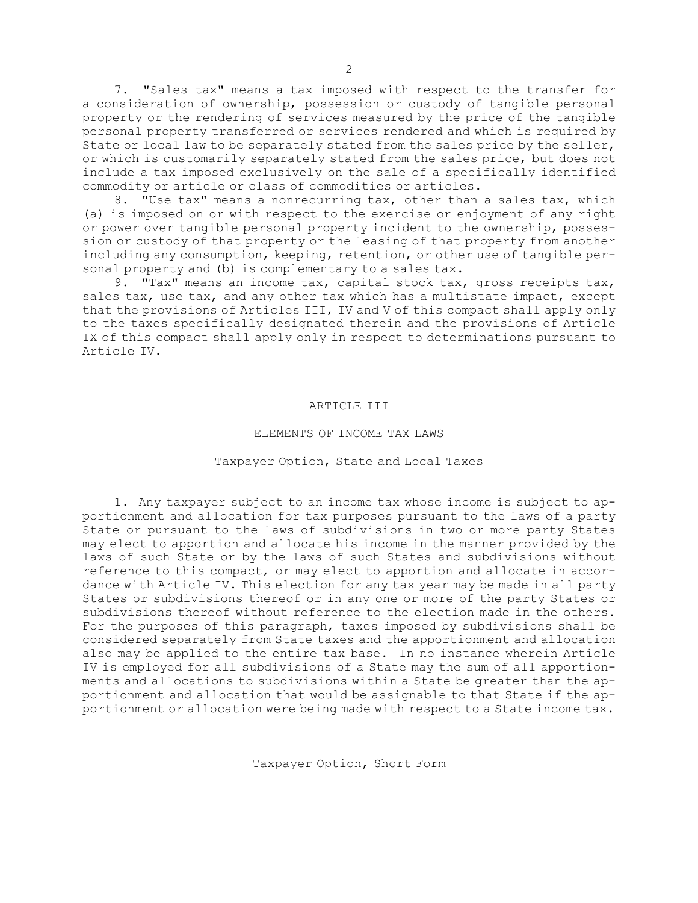7. "Sales tax" means <sup>a</sup> tax imposed with respect to the transfer for <sup>a</sup> consideration of ownership, possession or custody of tangible personal property or the rendering of services measured by the price of the tangible personal property transferred or services rendered and which is required by State or local law to be separately stated from the sales price by the seller, or which is customarily separately stated from the sales price, but does not include <sup>a</sup> tax imposed exclusively on the sale of <sup>a</sup> specifically identified commodity or article or class of commodities or articles.

8. "Use tax" means <sup>a</sup> nonrecurring tax, other than <sup>a</sup> sales tax, which (a) is imposed on or with respect to the exercise or enjoyment of any right or power over tangible personal property incident to the ownership, possession or custody of that property or the leasing of that property from another including any consumption, keeping, retention, or other use of tangible personal property and (b) is complementary to <sup>a</sup> sales tax.

9. "Tax" means an income tax, capital stock tax, gross receipts tax, sales tax, use tax, and any other tax which has a multistate impact, except that the provisions of Articles III, IV and <sup>V</sup> of this compact shall apply only to the taxes specifically designated therein and the provisions of Article IX of this compact shall apply only in respect to determinations pursuant to Article IV.

## ARTICLE III

### ELEMENTS OF INCOME TAX LAWS

## Taxpayer Option, State and Local Taxes

1. Any taxpayer subject to an income tax whose income is subject to apportionment and allocation for tax purposes pursuant to the laws of <sup>a</sup> party State or pursuant to the laws of subdivisions in two or more party States may elect to apportion and allocate his income in the manner provided by the laws of such State or by the laws of such States and subdivisions without reference to this compact, or may elect to apportion and allocate in accordance with Article IV. This election for any tax year may be made in all party States or subdivisions thereof or in any one or more of the party States or subdivisions thereof without reference to the election made in the others. For the purposes of this paragraph, taxes imposed by subdivisions shall be considered separately from State taxes and the apportionment and allocation also may be applied to the entire tax base. In no instance wherein Article IV is employed for all subdivisions of <sup>a</sup> State may the sum of all apportionments and allocations to subdivisions within <sup>a</sup> State be greater than the apportionment and allocation that would be assignable to that State if the apportionment or allocation were being made with respect to <sup>a</sup> State income tax.

Taxpayer Option, Short Form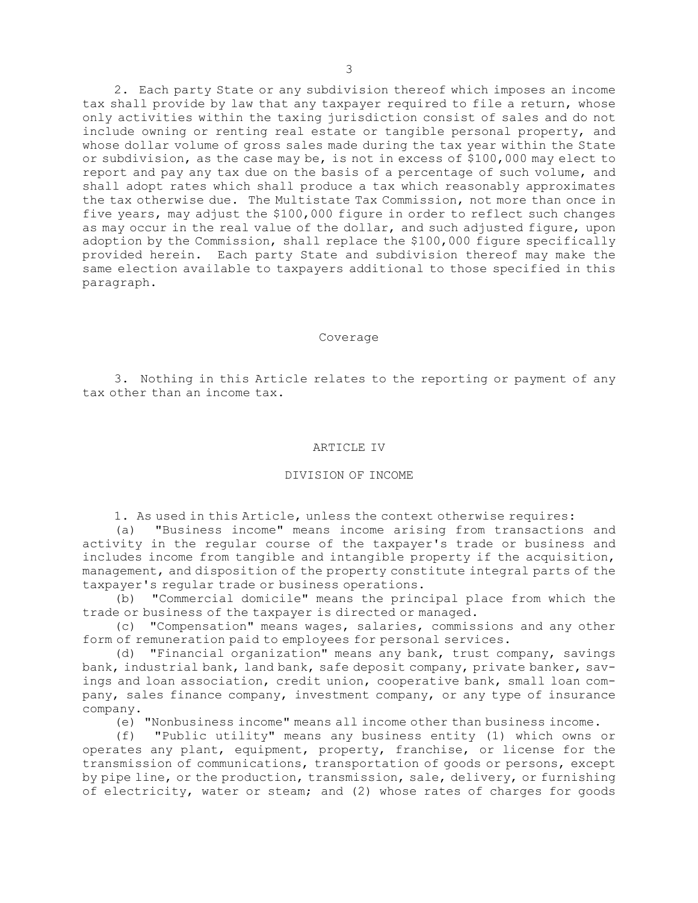2. Each party State or any subdivision thereof which imposes an income tax shall provide by law that any taxpayer required to file <sup>a</sup> return, whose only activities within the taxing jurisdiction consist of sales and do not include owning or renting real estate or tangible personal property, and whose dollar volume of gross sales made during the tax year within the State or subdivision, as the case may be, is not in excess of \$100,000 may elect to report and pay any tax due on the basis of <sup>a</sup> percentage of such volume, and shall adopt rates which shall produce <sup>a</sup> tax which reasonably approximates the tax otherwise due. The Multistate Tax Commission, not more than once in five years, may adjust the \$100,000 figure in order to reflect such changes as may occur in the real value of the dollar, and such adjusted figure, upon adoption by the Commission, shall replace the \$100,000 figure specifically provided herein. Each party State and subdivision thereof may make the same election available to taxpayers additional to those specified in this paragraph.

# Coverage

3. Nothing in this Article relates to the reporting or payment of any tax other than an income tax.

#### ARTICLE IV

#### DIVISION OF INCOME

1. As used in this Article, unless the context otherwise requires:

(a) "Business income" means income arising from transactions and activity in the regular course of the taxpayer's trade or business and includes income from tangible and intangible property if the acquisition, management, and disposition of the property constitute integral parts of the taxpayer's regular trade or business operations.

(b) "Commercial domicile" means the principal place from which the trade or business of the taxpayer is directed or managed.

(c) "Compensation" means wages, salaries, commissions and any other form of remuneration paid to employees for personal services.

(d) "Financial organization" means any bank, trust company, savings bank, industrial bank, land bank, safe deposit company, private banker, savings and loan association, credit union, cooperative bank, small loan company, sales finance company, investment company, or any type of insurance company.

(e) "Nonbusiness income" means all income other than business income.

(f) "Public utility" means any business entity (1) which owns or operates any plant, equipment, property, franchise, or license for the transmission of communications, transportation of goods or persons, except by pipe line, or the production, transmission, sale, delivery, or furnishing of electricity, water or steam; and (2) whose rates of charges for goods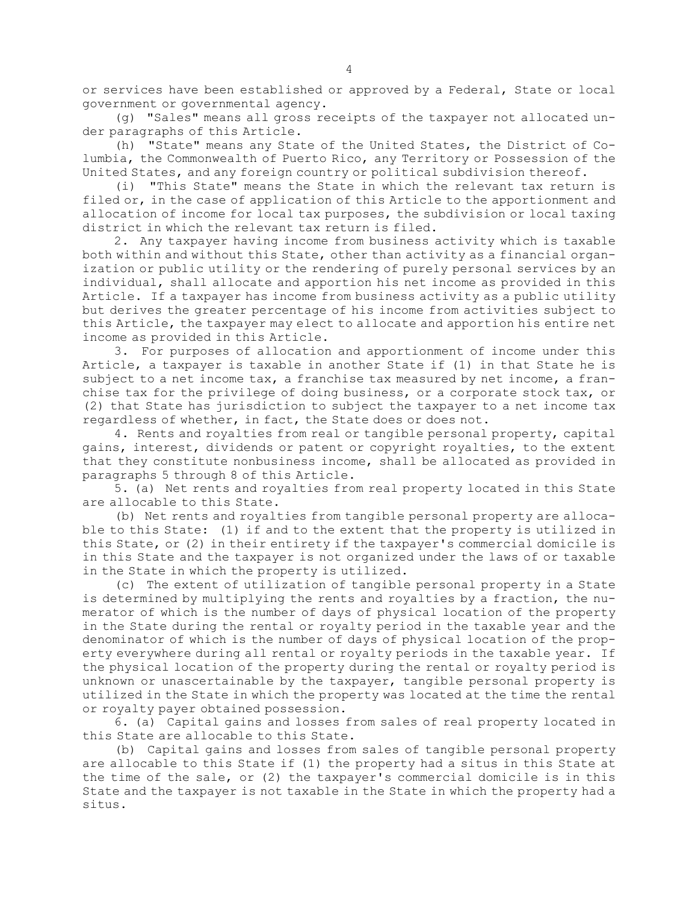or services have been established or approved by <sup>a</sup> Federal, State or local government or governmental agency.

(g) "Sales" means all gross receipts of the taxpayer not allocated under paragraphs of this Article.

(h) "State" means any State of the United States, the District of Columbia, the Commonwealth of Puerto Rico, any Territory or Possession of the United States, and any foreign country or political subdivision thereof.

(i) "This State" means the State in which the relevant tax return is filed or, in the case of application of this Article to the apportionment and allocation of income for local tax purposes, the subdivision or local taxing district in which the relevant tax return is filed.

2. Any taxpayer having income from business activity which is taxable both within and without this State, other than activity as <sup>a</sup> financial organization or public utility or the rendering of purely personal services by an individual, shall allocate and apportion his net income as provided in this Article. If <sup>a</sup> taxpayer has income from business activity as <sup>a</sup> public utility but derives the greater percentage of his income from activities subject to this Article, the taxpayer may elect to allocate and apportion his entire net income as provided in this Article.

3. For purposes of allocation and apportionment of income under this Article, <sup>a</sup> taxpayer is taxable in another State if (1) in that State he is subject to <sup>a</sup> net income tax, <sup>a</sup> franchise tax measured by net income, <sup>a</sup> franchise tax for the privilege of doing business, or <sup>a</sup> corporate stock tax, or (2) that State has jurisdiction to subject the taxpayer to <sup>a</sup> net income tax regardless of whether, in fact, the State does or does not.

4. Rents and royalties from real or tangible personal property, capital gains, interest, dividends or patent or copyright royalties, to the extent that they constitute nonbusiness income, shall be allocated as provided in paragraphs 5 through 8 of this Article.

5. (a) Net rents and royalties from real property located in this State are allocable to this State.

(b) Net rents and royalties from tangible personal property are allocable to this State: (1) if and to the extent that the property is utilized in this State, or (2) in their entirety if the taxpayer's commercial domicile is in this State and the taxpayer is not organized under the laws of or taxable in the State in which the property is utilized.

(c) The extent of utilization of tangible personal property in <sup>a</sup> State is determined by multiplying the rents and royalties by <sup>a</sup> fraction, the numerator of which is the number of days of physical location of the property in the State during the rental or royalty period in the taxable year and the denominator of which is the number of days of physical location of the property everywhere during all rental or royalty periods in the taxable year. If the physical location of the property during the rental or royalty period is unknown or unascertainable by the taxpayer, tangible personal property is utilized in the State in which the property was located at the time the rental or royalty payer obtained possession.

6. (a) Capital gains and losses from sales of real property located in this State are allocable to this State.

(b) Capital gains and losses from sales of tangible personal property are allocable to this State if (1) the property had <sup>a</sup> situs in this State at the time of the sale, or (2) the taxpayer's commercial domicile is in this State and the taxpayer is not taxable in the State in which the property had <sup>a</sup> situs.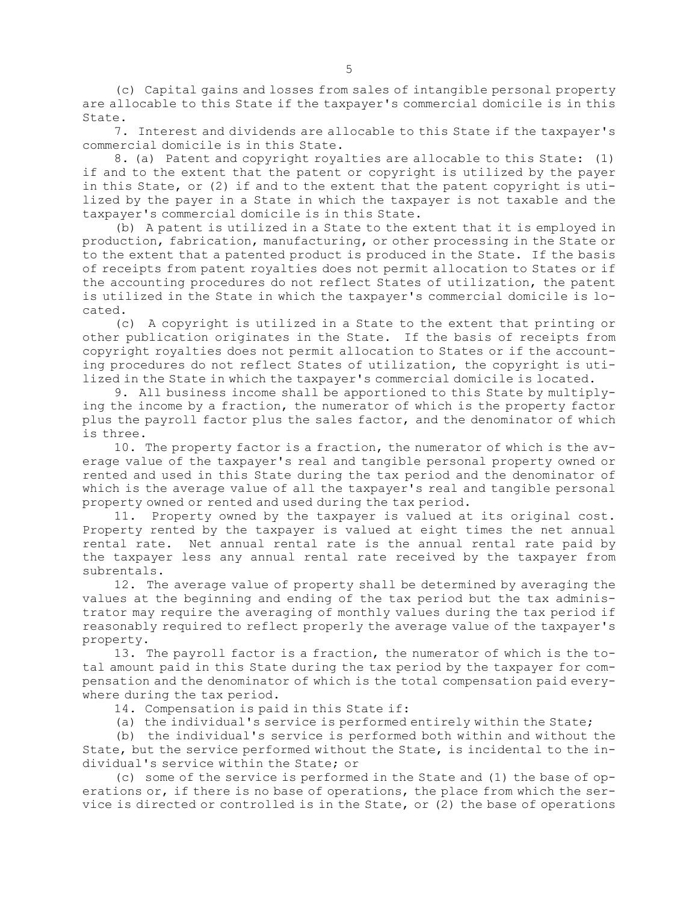(c) Capital gains and losses from sales of intangible personal property are allocable to this State if the taxpayer's commercial domicile is in this State.

7. Interest and dividends are allocable to this State if the taxpayer's commercial domicile is in this State.

8. (a) Patent and copyright royalties are allocable to this State: (1) if and to the extent that the patent or copyright is utilized by the payer in this State, or (2) if and to the extent that the patent copyright is utilized by the payer in <sup>a</sup> State in which the taxpayer is not taxable and the taxpayer's commercial domicile is in this State.

(b) <sup>A</sup> patent is utilized in <sup>a</sup> State to the extent that it is employed in production, fabrication, manufacturing, or other processing in the State or to the extent that <sup>a</sup> patented product is produced in the State. If the basis of receipts from patent royalties does not permit allocation to States or if the accounting procedures do not reflect States of utilization, the patent is utilized in the State in which the taxpayer's commercial domicile is located.

(c) <sup>A</sup> copyright is utilized in <sup>a</sup> State to the extent that printing or other publication originates in the State. If the basis of receipts from copyright royalties does not permit allocation to States or if the accounting procedures do not reflect States of utilization, the copyright is utilized in the State in which the taxpayer's commercial domicile is located.

9. All business income shall be apportioned to this State by multiplying the income by <sup>a</sup> fraction, the numerator of which is the property factor plus the payroll factor plus the sales factor, and the denominator of which is three.

10. The property factor is <sup>a</sup> fraction, the numerator of which is the average value of the taxpayer's real and tangible personal property owned or rented and used in this State during the tax period and the denominator of which is the average value of all the taxpayer's real and tangible personal property owned or rented and used during the tax period.

11. Property owned by the taxpayer is valued at its original cost. Property rented by the taxpayer is valued at eight times the net annual rental rate. Net annual rental rate is the annual rental rate paid by the taxpayer less any annual rental rate received by the taxpayer from subrentals.

12. The average value of property shall be determined by averaging the values at the beginning and ending of the tax period but the tax administrator may require the averaging of monthly values during the tax period if reasonably required to reflect properly the average value of the taxpayer's property.

13. The payroll factor is <sup>a</sup> fraction, the numerator of which is the total amount paid in this State during the tax period by the taxpayer for compensation and the denominator of which is the total compensation paid everywhere during the tax period.

14. Compensation is paid in this State if:

(a) the individual's service is performed entirely within the State;

(b) the individual's service is performed both within and without the State, but the service performed without the State, is incidental to the individual's service within the State; or

(c) some of the service is performed in the State and (1) the base of operations or, if there is no base of operations, the place from which the service is directed or controlled is in the State, or (2) the base of operations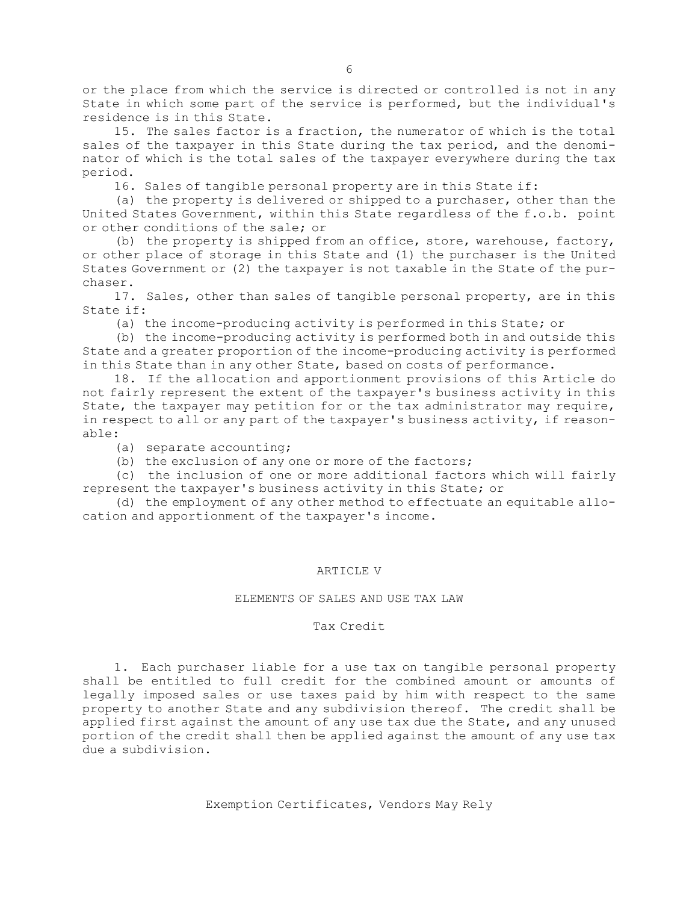or the place from which the service is directed or controlled is not in any State in which some part of the service is performed, but the individual's residence is in this State.

15. The sales factor is <sup>a</sup> fraction, the numerator of which is the total sales of the taxpayer in this State during the tax period, and the denominator of which is the total sales of the taxpayer everywhere during the tax period.

16. Sales of tangible personal property are in this State if:

(a) the property is delivered or shipped to <sup>a</sup> purchaser, other than the United States Government, within this State regardless of the f.o.b. point or other conditions of the sale; or

(b) the property is shipped from an office, store, warehouse, factory, or other place of storage in this State and (1) the purchaser is the United States Government or (2) the taxpayer is not taxable in the State of the purchaser.

17. Sales, other than sales of tangible personal property, are in this State if:

(a) the income-producing activity is performed in this State; or

(b) the income-producing activity is performed both in and outside this State and <sup>a</sup> greater proportion of the income-producing activity is performed in this State than in any other State, based on costs of performance.

18. If the allocation and apportionment provisions of this Article do not fairly represent the extent of the taxpayer's business activity in this State, the taxpayer may petition for or the tax administrator may require, in respect to all or any part of the taxpayer's business activity, if reasonable:

(a) separate accounting;

(b) the exclusion of any one or more of the factors;

(c) the inclusion of one or more additional factors which will fairly represent the taxpayer's business activity in this State; or

(d) the employment of any other method to effectuate an equitable allocation and apportionment of the taxpayer's income.

# ARTICLE V

# ELEMENTS OF SALES AND USE TAX LAW

### Tax Credit

1. Each purchaser liable for <sup>a</sup> use tax on tangible personal property shall be entitled to full credit for the combined amount or amounts of legally imposed sales or use taxes paid by him with respect to the same property to another State and any subdivision thereof. The credit shall be applied first against the amount of any use tax due the State, and any unused portion of the credit shall then be applied against the amount of any use tax due <sup>a</sup> subdivision.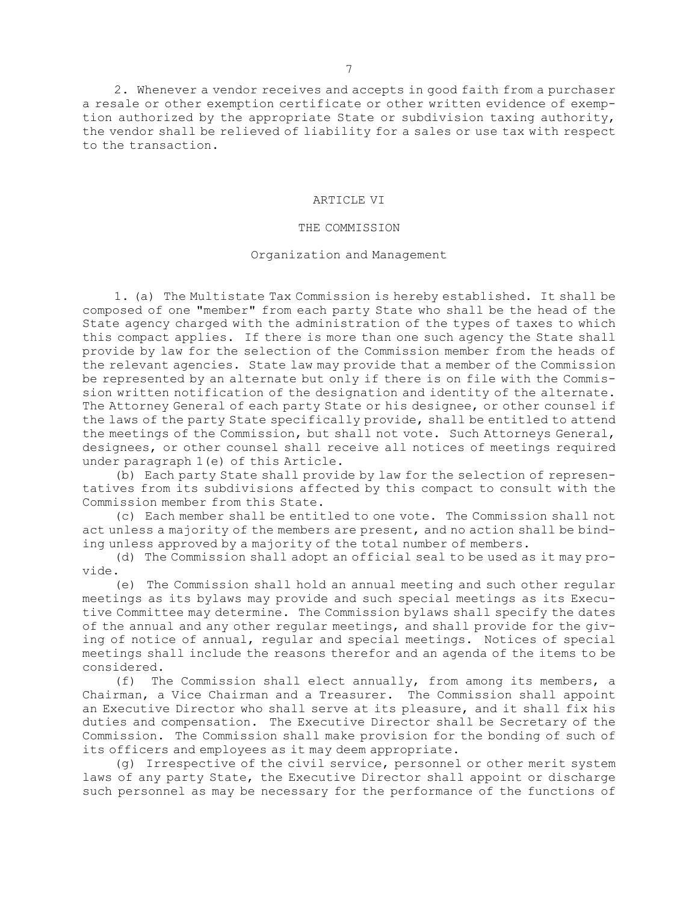2. Whenever <sup>a</sup> vendor receives and accepts in good faith from <sup>a</sup> purchaser <sup>a</sup> resale or other exemption certificate or other written evidence of exemption authorized by the appropriate State or subdivision taxing authority, the vendor shall be relieved of liability for <sup>a</sup> sales or use tax with respect to the transaction.

## ARTICLE VI

# THE COMMISSION

### Organization and Management

1. (a) The Multistate Tax Commission is hereby established. It shall be composed of one "member" from each party State who shall be the head of the State agency charged with the administration of the types of taxes to which this compact applies. If there is more than one such agency the State shall provide by law for the selection of the Commission member from the heads of the relevant agencies. State law may provide that <sup>a</sup> member of the Commission be represented by an alternate but only if there is on file with the Commission written notification of the designation and identity of the alternate. The Attorney General of each party State or his designee, or other counsel if the laws of the party State specifically provide, shall be entitled to attend the meetings of the Commission, but shall not vote. Such Attorneys General, designees, or other counsel shall receive all notices of meetings required under paragraph 1(e) of this Article.

(b) Each party State shall provide by law for the selection of representatives from its subdivisions affected by this compact to consult with the Commission member from this State.

(c) Each member shall be entitled to one vote. The Commission shall not act unless <sup>a</sup> majority of the members are present, and no action shall be binding unless approved by <sup>a</sup> majority of the total number of members.

(d) The Commission shall adopt an official seal to be used as it may provide.

(e) The Commission shall hold an annual meeting and such other regular meetings as its bylaws may provide and such special meetings as its Executive Committee may determine. The Commission bylaws shall specify the dates of the annual and any other regular meetings, and shall provide for the giving of notice of annual, regular and special meetings. Notices of special meetings shall include the reasons therefor and an agenda of the items to be considered.

(f) The Commission shall elect annually, from among its members, <sup>a</sup> Chairman, <sup>a</sup> Vice Chairman and <sup>a</sup> Treasurer. The Commission shall appoint an Executive Director who shall serve at its pleasure, and it shall fix his duties and compensation. The Executive Director shall be Secretary of the Commission. The Commission shall make provision for the bonding of such of its officers and employees as it may deem appropriate.

(g) Irrespective of the civil service, personnel or other merit system laws of any party State, the Executive Director shall appoint or discharge such personnel as may be necessary for the performance of the functions of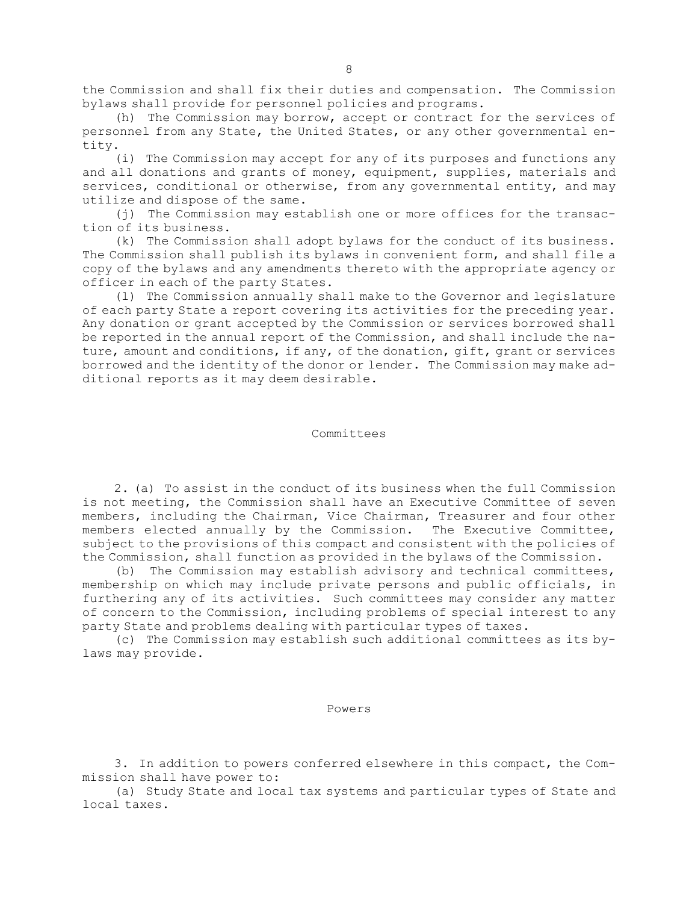the Commission and shall fix their duties and compensation. The Commission bylaws shall provide for personnel policies and programs.

(h) The Commission may borrow, accept or contract for the services of personnel from any State, the United States, or any other governmental entity.

(i) The Commission may accept for any of its purposes and functions any and all donations and grants of money, equipment, supplies, materials and services, conditional or otherwise, from any governmental entity, and may utilize and dispose of the same.

(j) The Commission may establish one or more offices for the transaction of its business.

(k) The Commission shall adopt bylaws for the conduct of its business. The Commission shall publish its bylaws in convenient form, and shall file <sup>a</sup> copy of the bylaws and any amendments thereto with the appropriate agency or officer in each of the party States.

(l) The Commission annually shall make to the Governor and legislature of each party State <sup>a</sup> report covering its activities for the preceding year. Any donation or grant accepted by the Commission or services borrowed shall be reported in the annual report of the Commission, and shall include the nature, amount and conditions, if any, of the donation, gift, grant or services borrowed and the identity of the donor or lender. The Commission may make additional reports as it may deem desirable.

#### Committees

2. (a) To assist in the conduct of its business when the full Commission is not meeting, the Commission shall have an Executive Committee of seven members, including the Chairman, Vice Chairman, Treasurer and four other members elected annually by the Commission. The Executive Committee, subject to the provisions of this compact and consistent with the policies of the Commission, shall function as provided in the bylaws of the Commission.

(b) The Commission may establish advisory and technical committees, membership on which may include private persons and public officials, in furthering any of its activities. Such committees may consider any matter of concern to the Commission, including problems of special interest to any party State and problems dealing with particular types of taxes.

(c) The Commission may establish such additional committees as its bylaws may provide.

### Powers

3. In addition to powers conferred elsewhere in this compact, the Commission shall have power to:

(a) Study State and local tax systems and particular types of State and local taxes.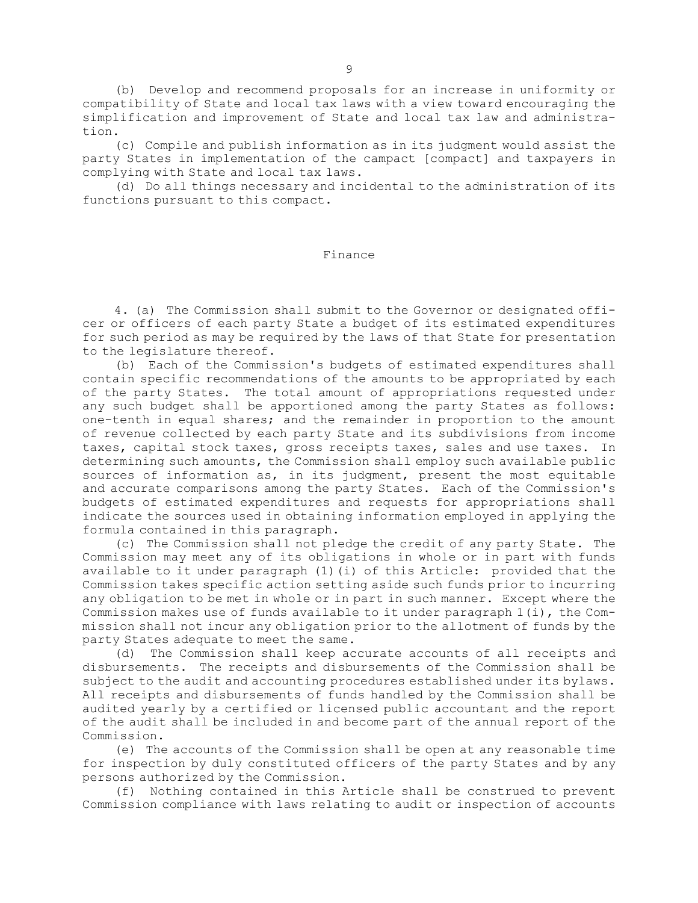(b) Develop and recommend proposals for an increase in uniformity or compatibility of State and local tax laws with <sup>a</sup> view toward encouraging the simplification and improvement of State and local tax law and administration.

(c) Compile and publish information as in its judgment would assist the party States in implementation of the campact [compact] and taxpayers in complying with State and local tax laws.

(d) Do all things necessary and incidental to the administration of its functions pursuant to this compact.

### Finance

4. (a) The Commission shall submit to the Governor or designated officer or officers of each party State <sup>a</sup> budget of its estimated expenditures for such period as may be required by the laws of that State for presentation to the legislature thereof.

(b) Each of the Commission's budgets of estimated expenditures shall contain specific recommendations of the amounts to be appropriated by each of the party States. The total amount of appropriations requested under any such budget shall be apportioned among the party States as follows: one-tenth in equal shares; and the remainder in proportion to the amount of revenue collected by each party State and its subdivisions from income taxes, capital stock taxes, gross receipts taxes, sales and use taxes. In determining such amounts, the Commission shall employ such available public sources of information as, in its judgment, present the most equitable and accurate comparisons among the party States. Each of the Commission's budgets of estimated expenditures and requests for appropriations shall indicate the sources used in obtaining information employed in applying the formula contained in this paragraph.

(c) The Commission shall not pledge the credit of any party State. The Commission may meet any of its obligations in whole or in part with funds available to it under paragraph (1)(i) of this Article: provided that the Commission takes specific action setting aside such funds prior to incurring any obligation to be met in whole or in part in such manner. Except where the Commission makes use of funds available to it under paragraph 1(i), the Commission shall not incur any obligation prior to the allotment of funds by the party States adequate to meet the same.

(d) The Commission shall keep accurate accounts of all receipts and disbursements. The receipts and disbursements of the Commission shall be subject to the audit and accounting procedures established under its bylaws. All receipts and disbursements of funds handled by the Commission shall be audited yearly by <sup>a</sup> certified or licensed public accountant and the report of the audit shall be included in and become part of the annual report of the Commission.

(e) The accounts of the Commission shall be open at any reasonable time for inspection by duly constituted officers of the party States and by any persons authorized by the Commission.

(f) Nothing contained in this Article shall be construed to prevent Commission compliance with laws relating to audit or inspection of accounts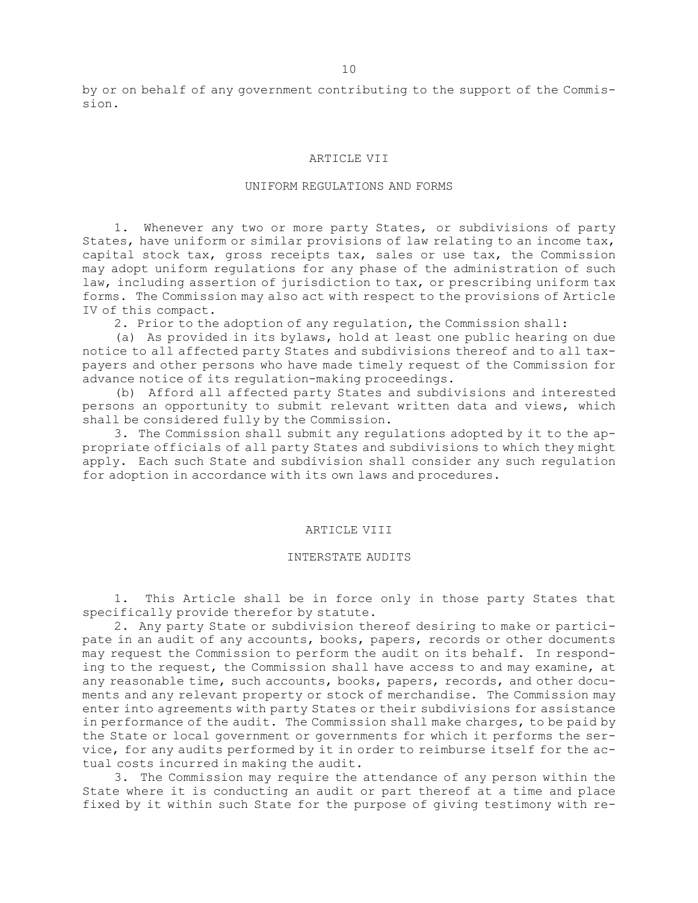by or on behalf of any government contributing to the support of the Commission.

### ARTICLE VII

### UNIFORM REGULATIONS AND FORMS

1. Whenever any two or more party States, or subdivisions of party States, have uniform or similar provisions of law relating to an income tax, capital stock tax, gross receipts tax, sales or use tax, the Commission may adopt uniform regulations for any phase of the administration of such law, including assertion of jurisdiction to tax, or prescribing uniform tax forms. The Commission may also act with respect to the provisions of Article IV of this compact.

2. Prior to the adoption of any regulation, the Commission shall:

(a) As provided in its bylaws, hold at least one public hearing on due notice to all affected party States and subdivisions thereof and to all taxpayers and other persons who have made timely request of the Commission for advance notice of its regulation-making proceedings.

(b) Afford all affected party States and subdivisions and interested persons an opportunity to submit relevant written data and views, which shall be considered fully by the Commission.

3. The Commission shall submit any regulations adopted by it to the appropriate officials of all party States and subdivisions to which they might apply. Each such State and subdivision shall consider any such regulation for adoption in accordance with its own laws and procedures.

## ARTICLE VIII

## INTERSTATE AUDITS

1. This Article shall be in force only in those party States that specifically provide therefor by statute.

2. Any party State or subdivision thereof desiring to make or participate in an audit of any accounts, books, papers, records or other documents may request the Commission to perform the audit on its behalf. In responding to the request, the Commission shall have access to and may examine, at any reasonable time, such accounts, books, papers, records, and other documents and any relevant property or stock of merchandise. The Commission may enter into agreements with party States or their subdivisions for assistance in performance of the audit. The Commission shall make charges, to be paid by the State or local government or governments for which it performs the service, for any audits performed by it in order to reimburse itself for the actual costs incurred in making the audit.

3. The Commission may require the attendance of any person within the State where it is conducting an audit or part thereof at <sup>a</sup> time and place fixed by it within such State for the purpose of giving testimony with re-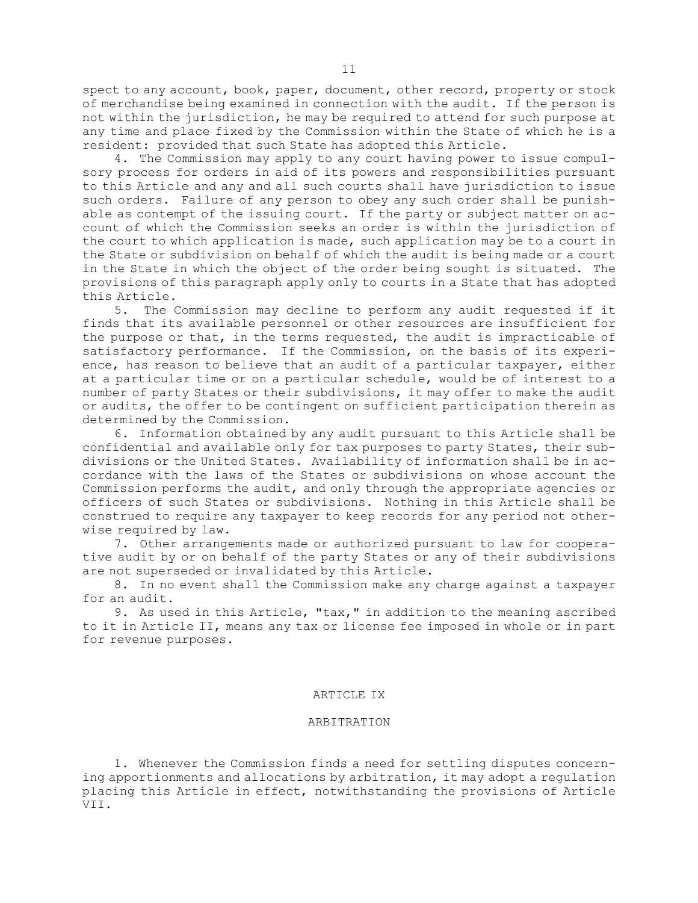spect to any account, book, paper, document, other record, property or stock of merchandise being examined in connection with the audit. If the person is not within the jurisdiction, he may be required to attend for such purpose at any time and place fixed by the Commission within the State of which he is <sup>a</sup> resident: provided that such State has adopted this Article.

4. The Commission may apply to any court having power to issue compulsory process for orders in aid of its powers and responsibilities pursuant to this Article and any and all such courts shall have jurisdiction to issue such orders. Failure of any person to obey any such order shall be punishable as contempt of the issuing court. If the party or subject matter on account of which the Commission seeks an order is within the jurisdiction of the court to which application is made, such application may be to <sup>a</sup> court in the State or subdivision on behalf of which the audit is being made or <sup>a</sup> court in the State in which the object of the order being sought is situated. The provisions of this paragraph apply only to courts in <sup>a</sup> State that has adopted this Article.

5. The Commission may decline to perform any audit requested if it finds that its available personnel or other resources are insufficient for the purpose or that, in the terms requested, the audit is impracticable of satisfactory performance. If the Commission, on the basis of its experience, has reason to believe that an audit of <sup>a</sup> particular taxpayer, either at <sup>a</sup> particular time or on <sup>a</sup> particular schedule, would be of interest to <sup>a</sup> number of party States or their subdivisions, it may offer to make the audit or audits, the offer to be contingent on sufficient participation therein as determined by the Commission.

6. Information obtained by any audit pursuant to this Article shall be confidential and available only for tax purposes to party States, their subdivisions or the United States. Availability of information shall be in accordance with the laws of the States or subdivisions on whose account the Commission performs the audit, and only through the appropriate agencies or officers of such States or subdivisions. Nothing in this Article shall be construed to require any taxpayer to keep records for any period not otherwise required by law.

7. Other arrangements made or authorized pursuant to law for cooperative audit by or on behalf of the party States or any of their subdivisions are not superseded or invalidated by this Article.

8. In no event shall the Commission make any charge against <sup>a</sup> taxpayer for an audit.

9. As used in this Article, "tax," in addition to the meaning ascribed to it in Article II, means any tax or license fee imposed in whole or in part for revenue purposes.

### ARTICLE IX

## ARBITRATION

1. Whenever the Commission finds <sup>a</sup> need for settling disputes concerning apportionments and allocations by arbitration, it may adopt <sup>a</sup> regulation placing this Article in effect, notwithstanding the provisions of Article VII.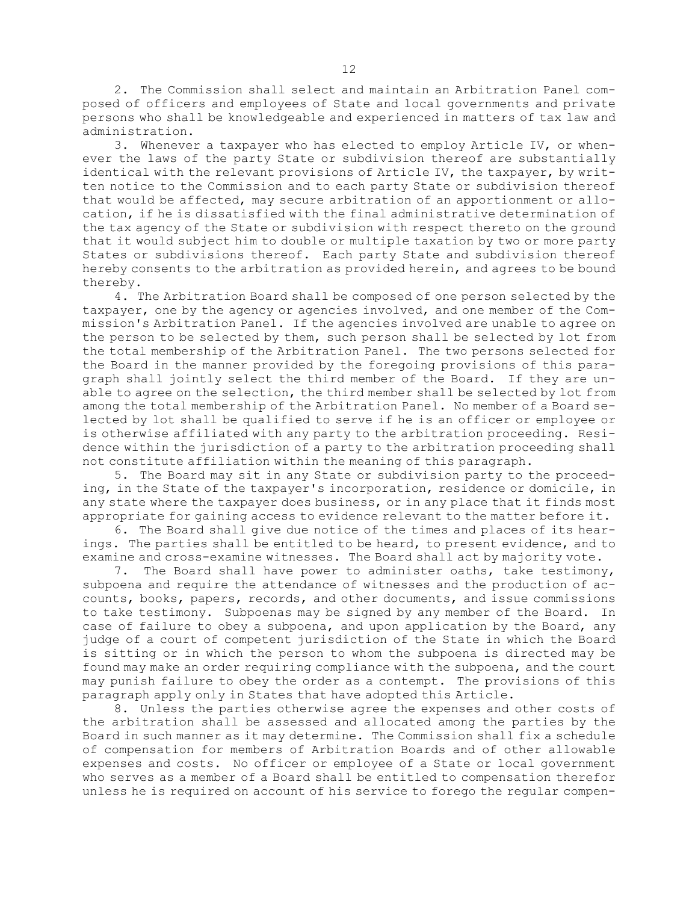2. The Commission shall select and maintain an Arbitration Panel composed of officers and employees of State and local governments and private persons who shall be knowledgeable and experienced in matters of tax law and administration.

3. Whenever <sup>a</sup> taxpayer who has elected to employ Article IV, or whenever the laws of the party State or subdivision thereof are substantially identical with the relevant provisions of Article IV, the taxpayer, by written notice to the Commission and to each party State or subdivision thereof that would be affected, may secure arbitration of an apportionment or allocation, if he is dissatisfied with the final administrative determination of the tax agency of the State or subdivision with respect thereto on the ground that it would subject him to double or multiple taxation by two or more party States or subdivisions thereof. Each party State and subdivision thereof hereby consents to the arbitration as provided herein, and agrees to be bound thereby.

4. The Arbitration Board shall be composed of one person selected by the taxpayer, one by the agency or agencies involved, and one member of the Commission's Arbitration Panel. If the agencies involved are unable to agree on the person to be selected by them, such person shall be selected by lot from the total membership of the Arbitration Panel. The two persons selected for the Board in the manner provided by the foregoing provisions of this paragraph shall jointly select the third member of the Board. If they are unable to agree on the selection, the third member shall be selected by lot from among the total membership of the Arbitration Panel. No member of <sup>a</sup> Board selected by lot shall be qualified to serve if he is an officer or employee or is otherwise affiliated with any party to the arbitration proceeding. Residence within the jurisdiction of <sup>a</sup> party to the arbitration proceeding shall not constitute affiliation within the meaning of this paragraph.

5. The Board may sit in any State or subdivision party to the proceeding, in the State of the taxpayer's incorporation, residence or domicile, in any state where the taxpayer does business, or in any place that it finds most appropriate for gaining access to evidence relevant to the matter before it.

6. The Board shall give due notice of the times and places of its hearings. The parties shall be entitled to be heard, to present evidence, and to examine and cross-examine witnesses. The Board shall act by majority vote.

7. The Board shall have power to administer oaths, take testimony, subpoena and require the attendance of witnesses and the production of accounts, books, papers, records, and other documents, and issue commissions to take testimony. Subpoenas may be signed by any member of the Board. In case of failure to obey <sup>a</sup> subpoena, and upon application by the Board, any judge of <sup>a</sup> court of competent jurisdiction of the State in which the Board is sitting or in which the person to whom the subpoena is directed may be found may make an order requiring compliance with the subpoena, and the court may punish failure to obey the order as <sup>a</sup> contempt. The provisions of this paragraph apply only in States that have adopted this Article.

8. Unless the parties otherwise agree the expenses and other costs of the arbitration shall be assessed and allocated among the parties by the Board in such manner as it may determine. The Commission shall fix <sup>a</sup> schedule of compensation for members of Arbitration Boards and of other allowable expenses and costs. No officer or employee of <sup>a</sup> State or local government who serves as <sup>a</sup> member of <sup>a</sup> Board shall be entitled to compensation therefor unless he is required on account of his service to forego the regular compen-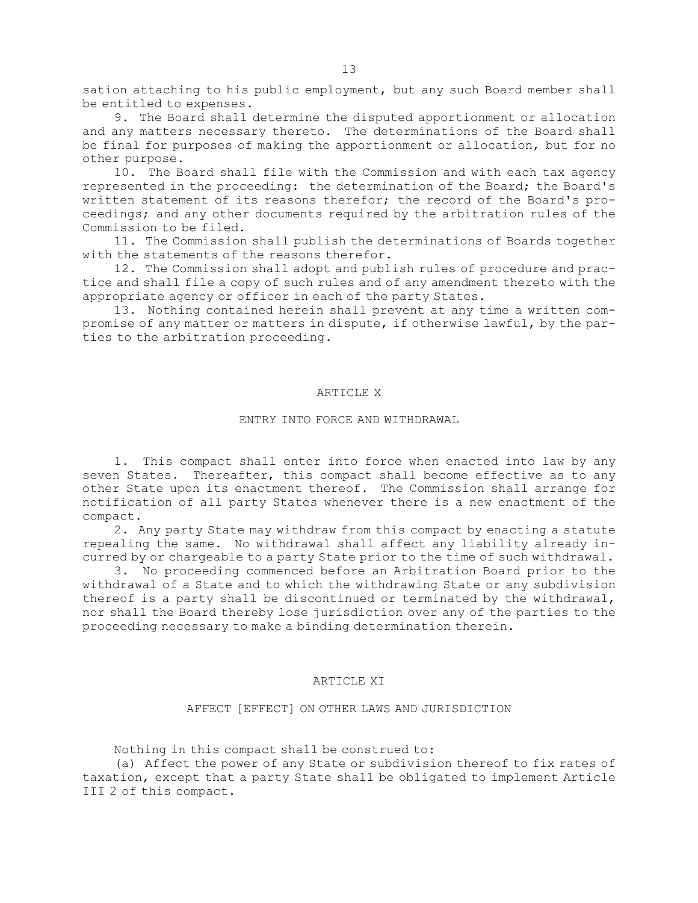sation attaching to his public employment, but any such Board member shall be entitled to expenses.

9. The Board shall determine the disputed apportionment or allocation and any matters necessary thereto. The determinations of the Board shall be final for purposes of making the apportionment or allocation, but for no other purpose.

10. The Board shall file with the Commission and with each tax agency represented in the proceeding: the determination of the Board; the Board's written statement of its reasons therefor; the record of the Board's proceedings; and any other documents required by the arbitration rules of the Commission to be filed.

11. The Commission shall publish the determinations of Boards together with the statements of the reasons therefor.

12. The Commission shall adopt and publish rules of procedure and practice and shall file <sup>a</sup> copy of such rules and of any amendment thereto with the appropriate agency or officer in each of the party States.

13. Nothing contained herein shall prevent at any time <sup>a</sup> written compromise of any matter or matters in dispute, if otherwise lawful, by the parties to the arbitration proceeding.

### ARTICLE X

## ENTRY INTO FORCE AND WITHDRAWAL

1. This compact shall enter into force when enacted into law by any seven States. Thereafter, this compact shall become effective as to any other State upon its enactment thereof. The Commission shall arrange for notification of all party States whenever there is <sup>a</sup> new enactment of the compact.

2. Any party State may withdraw from this compact by enacting <sup>a</sup> statute repealing the same. No withdrawal shall affect any liability already incurred by or chargeable to <sup>a</sup> party State prior to the time of such withdrawal.

3. No proceeding commenced before an Arbitration Board prior to the withdrawal of <sup>a</sup> State and to which the withdrawing State or any subdivision thereof is <sup>a</sup> party shall be discontinued or terminated by the withdrawal, nor shall the Board thereby lose jurisdiction over any of the parties to the proceeding necessary to make <sup>a</sup> binding determination therein.

# ARTICLE XI

# AFFECT [EFFECT] ON OTHER LAWS AND JURISDICTION

Nothing in this compact shall be construed to:

(a) Affect the power of any State or subdivision thereof to fix rates of taxation, except that <sup>a</sup> party State shall be obligated to implement Article III 2 of this compact.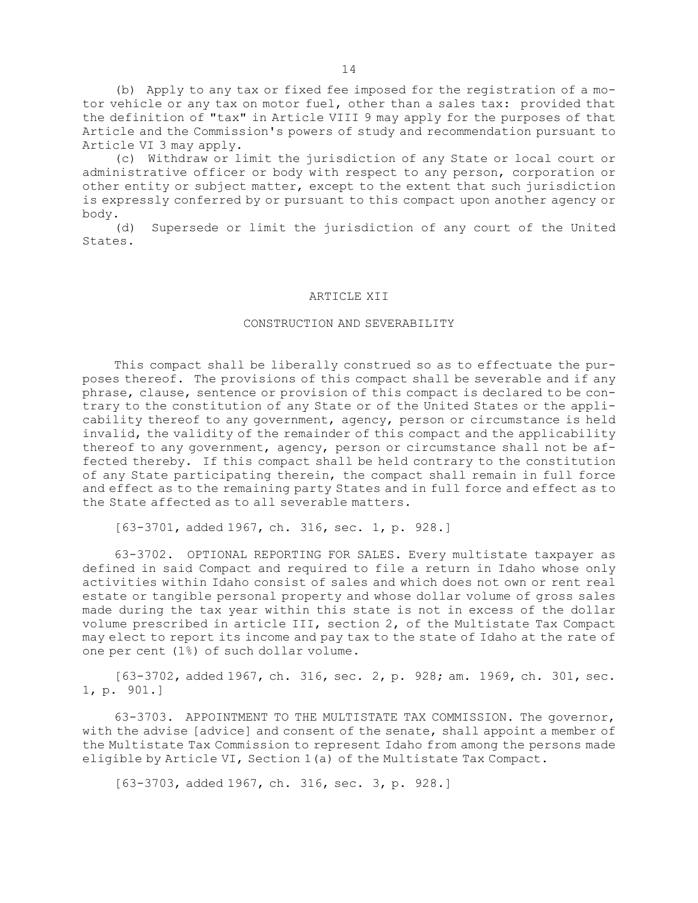(b) Apply to any tax or fixed fee imposed for the registration of <sup>a</sup> motor vehicle or any tax on motor fuel, other than <sup>a</sup> sales tax: provided that the definition of "tax" in Article VIII 9 may apply for the purposes of that Article and the Commission's powers of study and recommendation pursuant to Article VI 3 may apply.

(c) Withdraw or limit the jurisdiction of any State or local court or administrative officer or body with respect to any person, corporation or other entity or subject matter, except to the extent that such jurisdiction is expressly conferred by or pursuant to this compact upon another agency or body.

(d) Supersede or limit the jurisdiction of any court of the United States.

### ARTICLE XII

# CONSTRUCTION AND SEVERABILITY

This compact shall be liberally construed so as to effectuate the purposes thereof. The provisions of this compact shall be severable and if any phrase, clause, sentence or provision of this compact is declared to be contrary to the constitution of any State or of the United States or the applicability thereof to any government, agency, person or circumstance is held invalid, the validity of the remainder of this compact and the applicability thereof to any government, agency, person or circumstance shall not be affected thereby. If this compact shall be held contrary to the constitution of any State participating therein, the compact shall remain in full force and effect as to the remaining party States and in full force and effect as to the State affected as to all severable matters.

[63-3701, added 1967, ch. 316, sec. 1, p. 928.]

63-3702. OPTIONAL REPORTING FOR SALES. Every multistate taxpayer as defined in said Compact and required to file <sup>a</sup> return in Idaho whose only activities within Idaho consist of sales and which does not own or rent real estate or tangible personal property and whose dollar volume of gross sales made during the tax year within this state is not in excess of the dollar volume prescribed in article III, section 2, of the Multistate Tax Compact may elect to report its income and pay tax to the state of Idaho at the rate of one per cent (1%) of such dollar volume.

[63-3702, added 1967, ch. 316, sec. 2, p. 928; am. 1969, ch. 301, sec. 1, p. 901.]

63-3703. APPOINTMENT TO THE MULTISTATE TAX COMMISSION. The governor, with the advise [advice] and consent of the senate, shall appoint a member of the Multistate Tax Commission to represent Idaho from among the persons made eligible by Article VI, Section 1(a) of the Multistate Tax Compact.

[63-3703, added 1967, ch. 316, sec. 3, p. 928.]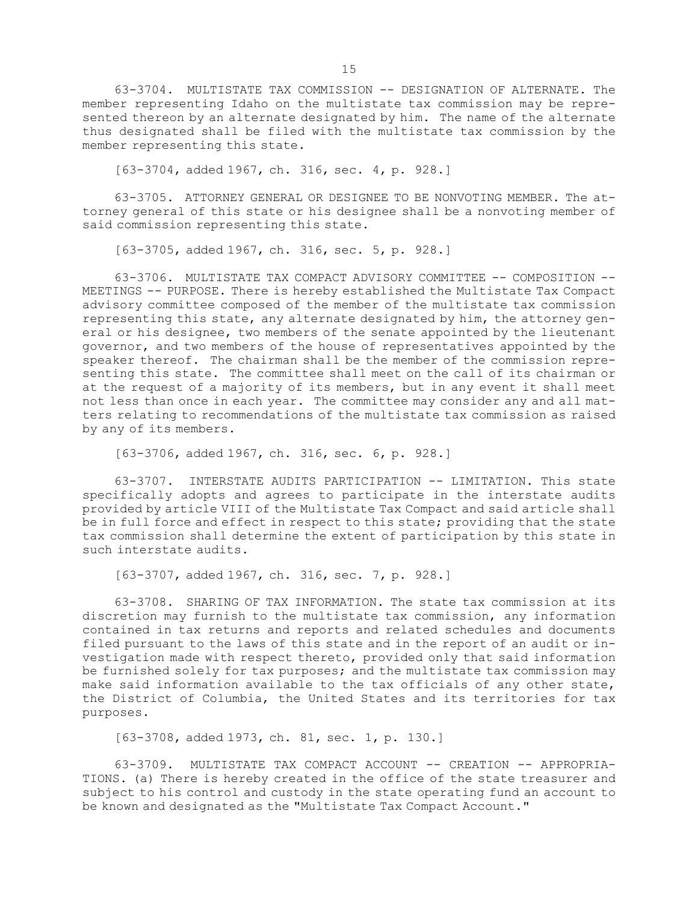63-3704. MULTISTATE TAX COMMISSION -- DESIGNATION OF ALTERNATE. The member representing Idaho on the multistate tax commission may be represented thereon by an alternate designated by him. The name of the alternate thus designated shall be filed with the multistate tax commission by the member representing this state.

[63-3704, added 1967, ch. 316, sec. 4, p. 928.]

63-3705. ATTORNEY GENERAL OR DESIGNEE TO BE NONVOTING MEMBER. The attorney general of this state or his designee shall be <sup>a</sup> nonvoting member of said commission representing this state.

[63-3705, added 1967, ch. 316, sec. 5, p. 928.]

63-3706. MULTISTATE TAX COMPACT ADVISORY COMMITTEE -- COMPOSITION -- MEETINGS -- PURPOSE. There is hereby established the Multistate Tax Compact advisory committee composed of the member of the multistate tax commission representing this state, any alternate designated by him, the attorney general or his designee, two members of the senate appointed by the lieutenant governor, and two members of the house of representatives appointed by the speaker thereof. The chairman shall be the member of the commission representing this state. The committee shall meet on the call of its chairman or at the request of <sup>a</sup> majority of its members, but in any event it shall meet not less than once in each year. The committee may consider any and all matters relating to recommendations of the multistate tax commission as raised by any of its members.

[63-3706, added 1967, ch. 316, sec. 6, p. 928.]

63-3707. INTERSTATE AUDITS PARTICIPATION -- LIMITATION. This state specifically adopts and agrees to participate in the interstate audits provided by article VIII of the Multistate Tax Compact and said article shall be in full force and effect in respect to this state; providing that the state tax commission shall determine the extent of participation by this state in such interstate audits.

[63-3707, added 1967, ch. 316, sec. 7, p. 928.]

63-3708. SHARING OF TAX INFORMATION. The state tax commission at its discretion may furnish to the multistate tax commission, any information contained in tax returns and reports and related schedules and documents filed pursuant to the laws of this state and in the report of an audit or investigation made with respect thereto, provided only that said information be furnished solely for tax purposes; and the multistate tax commission may make said information available to the tax officials of any other state, the District of Columbia, the United States and its territories for tax purposes.

[63-3708, added 1973, ch. 81, sec. 1, p. 130.]

63-3709. MULTISTATE TAX COMPACT ACCOUNT -- CREATION -- APPROPRIA-TIONS. (a) There is hereby created in the office of the state treasurer and subject to his control and custody in the state operating fund an account to be known and designated as the "Multistate Tax Compact Account."